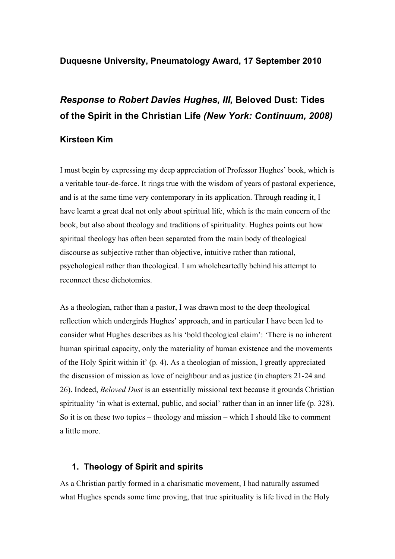## **Duquesne University, Pneumatology Award, 17 September 2010**

# *Response to Robert Davies Hughes, III,* **Beloved Dust: Tides of the Spirit in the Christian Life** *(New York: Continuum, 2008)*

## **Kirsteen Kim**

I must begin by expressing my deep appreciation of Professor Hughes' book, which is a veritable tour-de-force. It rings true with the wisdom of years of pastoral experience, and is at the same time very contemporary in its application. Through reading it, I have learnt a great deal not only about spiritual life, which is the main concern of the book, but also about theology and traditions of spirituality. Hughes points out how spiritual theology has often been separated from the main body of theological discourse as subjective rather than objective, intuitive rather than rational, psychological rather than theological. I am wholeheartedly behind his attempt to reconnect these dichotomies.

As a theologian, rather than a pastor, I was drawn most to the deep theological reflection which undergirds Hughes' approach, and in particular I have been led to consider what Hughes describes as his 'bold theological claim': 'There is no inherent human spiritual capacity, only the materiality of human existence and the movements of the Holy Spirit within it' (p. 4). As a theologian of mission, I greatly appreciated the discussion of mission as love of neighbour and as justice (in chapters 21-24 and 26). Indeed, *Beloved Dust* is an essentially missional text because it grounds Christian spirituality 'in what is external, public, and social' rather than in an inner life (p. 328). So it is on these two topics – theology and mission – which I should like to comment a little more.

### **1. Theology of Spirit and spirits**

As a Christian partly formed in a charismatic movement, I had naturally assumed what Hughes spends some time proving, that true spirituality is life lived in the Holy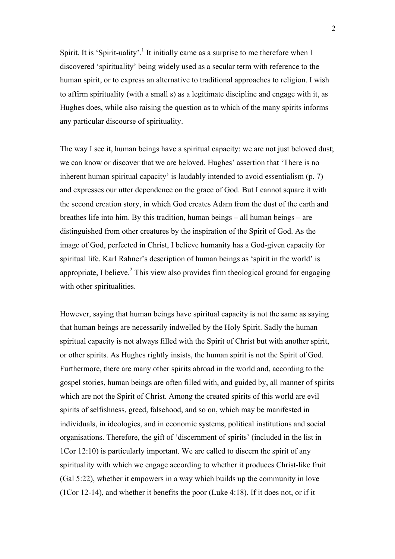Spirit. It is 'Spirit-uality'.<sup>1</sup> It initially came as a surprise to me therefore when I discovered 'spirituality' being widely used as a secular term with reference to the human spirit, or to express an alternative to traditional approaches to religion. I wish to affirm spirituality (with a small s) as a legitimate discipline and engage with it, as Hughes does, while also raising the question as to which of the many spirits informs any particular discourse of spirituality.

The way I see it, human beings have a spiritual capacity: we are not just beloved dust; we can know or discover that we are beloved. Hughes' assertion that 'There is no inherent human spiritual capacity' is laudably intended to avoid essentialism (p. 7) and expresses our utter dependence on the grace of God. But I cannot square it with the second creation story, in which God creates Adam from the dust of the earth and breathes life into him. By this tradition, human beings – all human beings – are distinguished from other creatures by the inspiration of the Spirit of God. As the image of God, perfected in Christ, I believe humanity has a God-given capacity for spiritual life. Karl Rahner's description of human beings as 'spirit in the world' is appropriate, I believe.<sup>2</sup> This view also provides firm theological ground for engaging with other spiritualities.

However, saying that human beings have spiritual capacity is not the same as saying that human beings are necessarily indwelled by the Holy Spirit. Sadly the human spiritual capacity is not always filled with the Spirit of Christ but with another spirit, or other spirits. As Hughes rightly insists, the human spirit is not the Spirit of God. Furthermore, there are many other spirits abroad in the world and, according to the gospel stories, human beings are often filled with, and guided by, all manner of spirits which are not the Spirit of Christ. Among the created spirits of this world are evil spirits of selfishness, greed, falsehood, and so on, which may be manifested in individuals, in ideologies, and in economic systems, political institutions and social organisations. Therefore, the gift of 'discernment of spirits' (included in the list in 1Cor 12:10) is particularly important. We are called to discern the spirit of any spirituality with which we engage according to whether it produces Christ-like fruit (Gal 5:22), whether it empowers in a way which builds up the community in love (1Cor 12-14), and whether it benefits the poor (Luke 4:18). If it does not, or if it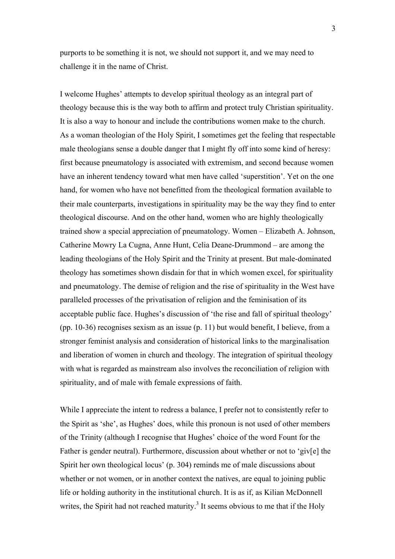purports to be something it is not, we should not support it, and we may need to challenge it in the name of Christ.

I welcome Hughes' attempts to develop spiritual theology as an integral part of theology because this is the way both to affirm and protect truly Christian spirituality. It is also a way to honour and include the contributions women make to the church. As a woman theologian of the Holy Spirit, I sometimes get the feeling that respectable male theologians sense a double danger that I might fly off into some kind of heresy: first because pneumatology is associated with extremism, and second because women have an inherent tendency toward what men have called 'superstition'. Yet on the one hand, for women who have not benefitted from the theological formation available to their male counterparts, investigations in spirituality may be the way they find to enter theological discourse. And on the other hand, women who are highly theologically trained show a special appreciation of pneumatology. Women – Elizabeth A. Johnson, Catherine Mowry La Cugna, Anne Hunt, Celia Deane-Drummond – are among the leading theologians of the Holy Spirit and the Trinity at present. But male-dominated theology has sometimes shown disdain for that in which women excel, for spirituality and pneumatology. The demise of religion and the rise of spirituality in the West have paralleled processes of the privatisation of religion and the feminisation of its acceptable public face. Hughes's discussion of 'the rise and fall of spiritual theology' (pp. 10-36) recognises sexism as an issue (p. 11) but would benefit, I believe, from a stronger feminist analysis and consideration of historical links to the marginalisation and liberation of women in church and theology. The integration of spiritual theology with what is regarded as mainstream also involves the reconciliation of religion with spirituality, and of male with female expressions of faith.

While I appreciate the intent to redress a balance, I prefer not to consistently refer to the Spirit as 'she', as Hughes' does, while this pronoun is not used of other members of the Trinity (although I recognise that Hughes' choice of the word Fount for the Father is gender neutral). Furthermore, discussion about whether or not to 'giv[e] the Spirit her own theological locus' (p. 304) reminds me of male discussions about whether or not women, or in another context the natives, are equal to joining public life or holding authority in the institutional church. It is as if, as Kilian McDonnell writes, the Spirit had not reached maturity.<sup>3</sup> It seems obvious to me that if the Holy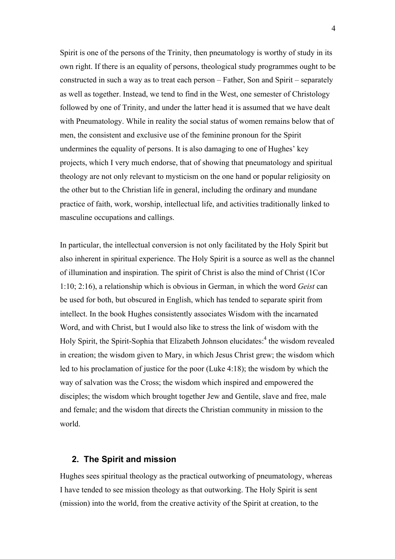Spirit is one of the persons of the Trinity, then pneumatology is worthy of study in its own right. If there is an equality of persons, theological study programmes ought to be constructed in such a way as to treat each person – Father, Son and Spirit – separately as well as together. Instead, we tend to find in the West, one semester of Christology followed by one of Trinity, and under the latter head it is assumed that we have dealt with Pneumatology. While in reality the social status of women remains below that of men, the consistent and exclusive use of the feminine pronoun for the Spirit undermines the equality of persons. It is also damaging to one of Hughes' key projects, which I very much endorse, that of showing that pneumatology and spiritual theology are not only relevant to mysticism on the one hand or popular religiosity on the other but to the Christian life in general, including the ordinary and mundane practice of faith, work, worship, intellectual life, and activities traditionally linked to masculine occupations and callings.

In particular, the intellectual conversion is not only facilitated by the Holy Spirit but also inherent in spiritual experience. The Holy Spirit is a source as well as the channel of illumination and inspiration. The spirit of Christ is also the mind of Christ (1Cor 1:10; 2:16), a relationship which is obvious in German, in which the word *Geist* can be used for both, but obscured in English, which has tended to separate spirit from intellect. In the book Hughes consistently associates Wisdom with the incarnated Word, and with Christ, but I would also like to stress the link of wisdom with the Holy Spirit, the Spirit-Sophia that Elizabeth Johnson elucidates:<sup>4</sup> the wisdom revealed in creation; the wisdom given to Mary, in which Jesus Christ grew; the wisdom which led to his proclamation of justice for the poor (Luke 4:18); the wisdom by which the way of salvation was the Cross; the wisdom which inspired and empowered the disciples; the wisdom which brought together Jew and Gentile, slave and free, male and female; and the wisdom that directs the Christian community in mission to the world.

#### **2. The Spirit and mission**

Hughes sees spiritual theology as the practical outworking of pneumatology, whereas I have tended to see mission theology as that outworking. The Holy Spirit is sent (mission) into the world, from the creative activity of the Spirit at creation, to the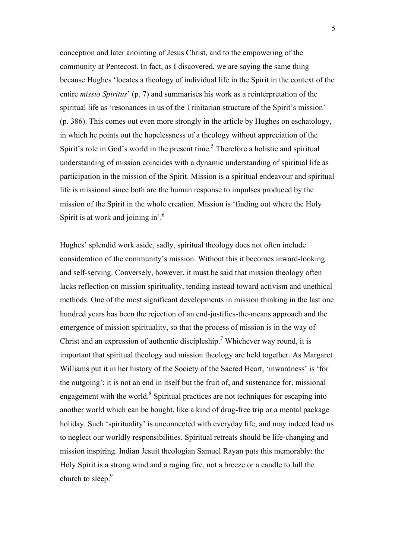conception and later anointing of Jesus Christ, and to the empowering of the community at Pentecost. In fact, as I discovered, we are saying the same thing because Hughes 'locates a theology of individual life in the Spirit in the context of the entire *missio Spiritus*' (p. 7) and summarises his work as a reinterpretation of the spiritual life as 'resonances in us of the Trinitarian structure of the Spirit's mission' (p. 386). This comes out even more strongly in the article by Hughes on eschatology, in which he points out the hopelessness of a theology without appreciation of the Spirit's role in God's world in the present time.<sup>5</sup> Therefore a holistic and spiritual understanding of mission coincides with a dynamic understanding of spiritual life as participation in the mission of the Spirit. Mission is a spiritual endeavour and spiritual life is missional since both are the human response to impulses produced by the mission of the Spirit in the whole creation. Mission is 'finding out where the Holy Spirit is at work and joining in<sup>'.6</sup>

Hughes' splendid work aside, sadly, spiritual theology does not often include consideration of the community's mission. Without this it becomes inward-looking and self-serving. Conversely, however, it must be said that mission theology often lacks reflection on mission spirituality, tending instead toward activism and unethical methods. One of the most significant developments in mission thinking in the last one hundred years has been the rejection of an end-justifies-the-means approach and the emergence of mission spirituality, so that the process of mission is in the way of Christ and an expression of authentic discipleship.<sup>7</sup> Whichever way round, it is important that spiritual theology and mission theology are held together. As Margaret Williams put it in her history of the Society of the Sacred Heart, 'inwardness' is 'for the outgoing'; it is not an end in itself but the fruit of, and sustenance for, missional engagement with the world. $8$  Spiritual practices are not techniques for escaping into another world which can be bought, like a kind of drug-free trip or a mental package holiday. Such 'spirituality' is unconnected with everyday life, and may indeed lead us to neglect our worldly responsibilities. Spiritual retreats should be life-changing and mission inspiring. Indian Jesuit theologian Samuel Rayan puts this memorably: the Holy Spirit is a strong wind and a raging fire, not a breeze or a candle to lull the church to sleep.<sup>9</sup>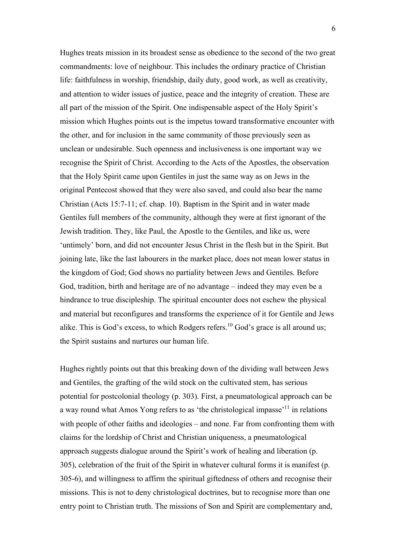Hughes treats mission in its broadest sense as obedience to the second of the two great commandments: love of neighbour. This includes the ordinary practice of Christian life: faithfulness in worship, friendship, daily duty, good work, as well as creativity, and attention to wider issues of justice, peace and the integrity of creation. These are all part of the mission of the Spirit. One indispensable aspect of the Holy Spirit's mission which Hughes points out is the impetus toward transformative encounter with the other, and for inclusion in the same community of those previously seen as unclean or undesirable. Such openness and inclusiveness is one important way we recognise the Spirit of Christ. According to the Acts of the Apostles, the observation that the Holy Spirit came upon Gentiles in just the same way as on Jews in the original Pentecost showed that they were also saved, and could also bear the name Christian (Acts 15:7-11; cf. chap. 10). Baptism in the Spirit and in water made Gentiles full members of the community, although they were at first ignorant of the Jewish tradition. They, like Paul, the Apostle to the Gentiles, and like us, were 'untimely' born, and did not encounter Jesus Christ in the flesh but in the Spirit. But joining late, like the last labourers in the market place, does not mean lower status in the kingdom of God; God shows no partiality between Jews and Gentiles. Before God, tradition, birth and heritage are of no advantage – indeed they may even be a hindrance to true discipleship. The spiritual encounter does not eschew the physical and material but reconfigures and transforms the experience of it for Gentile and Jews alike. This is God's excess, to which Rodgers refers.<sup>10</sup> God's grace is all around us; the Spirit sustains and nurtures our human life.

Hughes rightly points out that this breaking down of the dividing wall between Jews and Gentiles, the grafting of the wild stock on the cultivated stem, has serious potential for postcolonial theology (p. 303). First, a pneumatological approach can be a way round what Amos Yong refers to as 'the christological impasse'11 in relations with people of other faiths and ideologies – and none. Far from confronting them with claims for the lordship of Christ and Christian uniqueness, a pneumatological approach suggests dialogue around the Spirit's work of healing and liberation (p. 305), celebration of the fruit of the Spirit in whatever cultural forms it is manifest (p. 305-6), and willingness to affirm the spiritual giftedness of others and recognise their missions. This is not to deny christological doctrines, but to recognise more than one entry point to Christian truth. The missions of Son and Spirit are complementary and,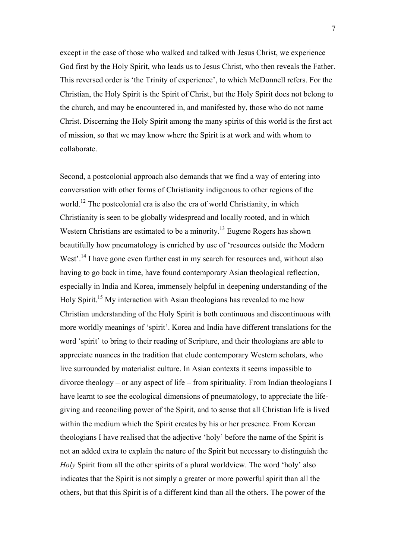except in the case of those who walked and talked with Jesus Christ, we experience God first by the Holy Spirit, who leads us to Jesus Christ, who then reveals the Father. This reversed order is 'the Trinity of experience', to which McDonnell refers. For the Christian, the Holy Spirit is the Spirit of Christ, but the Holy Spirit does not belong to the church, and may be encountered in, and manifested by, those who do not name Christ. Discerning the Holy Spirit among the many spirits of this world is the first act of mission, so that we may know where the Spirit is at work and with whom to collaborate.

Second, a postcolonial approach also demands that we find a way of entering into conversation with other forms of Christianity indigenous to other regions of the world.<sup>12</sup> The postcolonial era is also the era of world Christianity, in which Christianity is seen to be globally widespread and locally rooted, and in which Western Christians are estimated to be a minority.<sup>13</sup> Eugene Rogers has shown beautifully how pneumatology is enriched by use of 'resources outside the Modern West'.<sup>14</sup> I have gone even further east in my search for resources and, without also having to go back in time, have found contemporary Asian theological reflection, especially in India and Korea, immensely helpful in deepening understanding of the Holy Spirit.<sup>15</sup> My interaction with Asian theologians has revealed to me how Christian understanding of the Holy Spirit is both continuous and discontinuous with more worldly meanings of 'spirit'. Korea and India have different translations for the word 'spirit' to bring to their reading of Scripture, and their theologians are able to appreciate nuances in the tradition that elude contemporary Western scholars, who live surrounded by materialist culture. In Asian contexts it seems impossible to divorce theology – or any aspect of life – from spirituality. From Indian theologians I have learnt to see the ecological dimensions of pneumatology, to appreciate the lifegiving and reconciling power of the Spirit, and to sense that all Christian life is lived within the medium which the Spirit creates by his or her presence. From Korean theologians I have realised that the adjective 'holy' before the name of the Spirit is not an added extra to explain the nature of the Spirit but necessary to distinguish the *Holy* Spirit from all the other spirits of a plural worldview. The word 'holy' also indicates that the Spirit is not simply a greater or more powerful spirit than all the others, but that this Spirit is of a different kind than all the others. The power of the